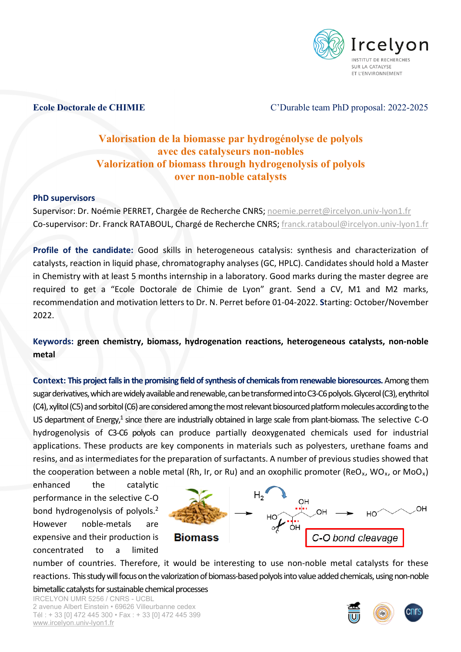

## **Ecole Doctorale de CHIMIE** C'Durable team PhD proposal: 2022-2025

## **Valorisation de la biomasse par hydrogénolyse de polyols avec des catalyseurs non-nobles Valorization of biomass through hydrogenolysis of polyols over non-noble catalysts**

## **PhD supervisors**

Supervisor: Dr. Noémie PERRET, Chargée de Recherche CNRS; [noemie.perret@ircelyon.univ-lyon1.fr](mailto:noemie.perret@ircelyon.univ-lyon1.fr) Co-supervisor: Dr. Franck RATABOUL, Chargé de Recherche CNRS; [franck.rataboul@ircelyon.univ-lyon1.fr](mailto:franck.rataboul@ircelyon.univ-lyon1.fr)

**Profile of the candidate:** Good skills in heterogeneous catalysis: synthesis and characterization of catalysts, reaction in liquid phase, chromatography analyses (GC, HPLC). Candidates should hold a Master in Chemistry with at least 5 months internship in a laboratory. Good marks during the master degree are required to get a "Ecole Doctorale de Chimie de Lyon" grant. Send a CV, M1 and M2 marks, recommendation and motivation letters to Dr. N. Perret before 01-04-2022. **S**tarting: October/November 2022.

**Keywords: green chemistry, biomass, hydrogenation reactions, heterogeneous catalysts, non-noble metal**

**Context: This project falls in the promising field of synthesis of chemicals from renewable bioresources.** Among them sugar derivatives, which are widely available and renewable, can be transformed into C3-C6 polyols. Glycerol (C3), erythritol (C4), xylitol (C5) and sorbitol (C6) are considered among the most relevant biosourced platform molecules according to the US department of Energy, $1$  since there are industrially obtained in large scale from plant-biomass. The selective C-O hydrogenolysis of C3-C6 polyols can produce partially deoxygenated chemicals used for industrial applications. These products are key components in materials such as polyesters, urethane foams and resins, and as intermediates for the preparation of surfactants. A number of previous studies showed that the cooperation between a noble metal (Rh, Ir, or Ru) and an oxophilic promoter (ReO<sub>x</sub>, WO<sub>x</sub>, or MoO<sub>x</sub>)

enhanced the catalytic performance in the selective C-O bond hydrogenolysis of polyols.2 However noble-metals are expensive and their production is concentrated to a limited



number of countries. Therefore, it would be interesting to use non-noble metal catalysts for these reactions. This study will focus on the valorization of biomass-based polyols into value added chemicals, using non-noble bimetallic catalysts for sustainable chemical processes